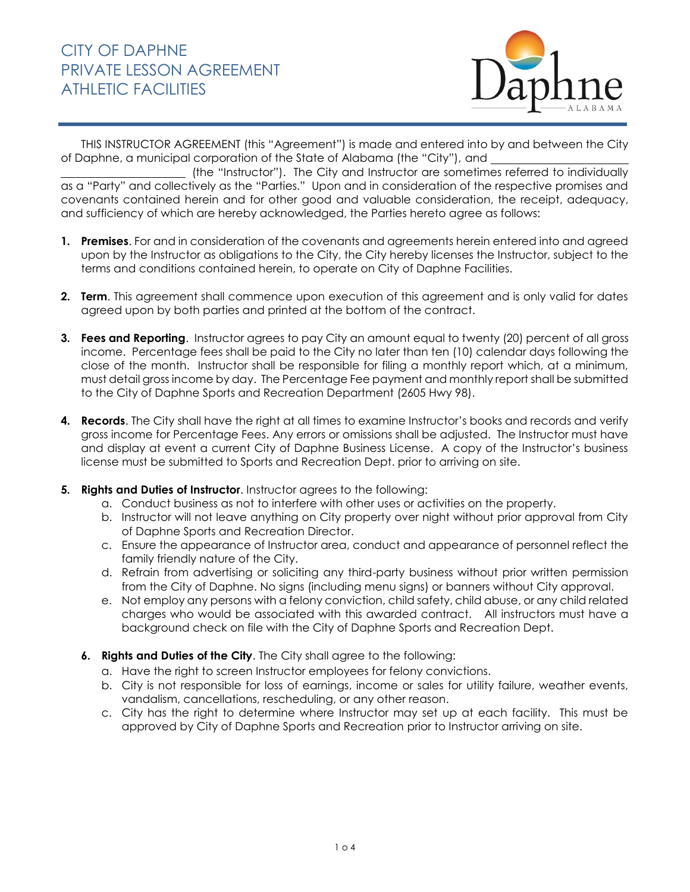

THIS INSTRUCTOR AGREEMENT (this "Agreement") is made and entered into by and between the City of Daphne, a municipal corporation of the State of Alabama (the "City"), and

 (the "Instructor"). The City and Instructor are sometimes referred to individually as a "Party" and collectively as the "Parties." Upon and in consideration of the respective promises and covenants contained herein and for other good and valuable consideration, the receipt, adequacy, and sufficiency of which are hereby acknowledged, the Parties hereto agree as follows:

- **1. Premises**. For and in consideration of the covenants and agreements herein entered into and agreed upon by the Instructor as obligations to the City, the City hereby licenses the Instructor, subject to the terms and conditions contained herein, to operate on City of Daphne Facilities.
- **2. Term**. This agreement shall commence upon execution of this agreement and is only valid for dates agreed upon by both parties and printed at the bottom of the contract.
- **3. Fees and Reporting**. Instructor agrees to pay City an amount equal to twenty (20) percent of all gross income. Percentage fees shall be paid to the City no later than ten (10) calendar days following the close of the month. Instructor shall be responsible for filing a monthly report which, at a minimum, must detail gross income by day. The Percentage Fee payment and monthly report shall be submitted to the City of Daphne Sports and Recreation Department (2605 Hwy 98).
- **4. Records**. The City shall have the right at all times to examine Instructor's books and records and verify gross income for Percentage Fees. Any errors or omissions shall be adjusted. The Instructor must have and display at event a current City of Daphne Business License. A copy of the Instructor's business license must be submitted to Sports and Recreation Dept. prior to arriving on site.
- **5. Rights and Duties of Instructor**. Instructor agrees to the following:
	- a. Conduct business as not to interfere with other uses or activities on the property.
	- b. Instructor will not leave anything on City property over night without prior approval from City of Daphne Sports and Recreation Director.
	- c. Ensure the appearance of Instructor area, conduct and appearance of personnel reflect the family friendly nature of the City.
	- d. Refrain from advertising or soliciting any third-party business without prior written permission from the City of Daphne. No signs (including menu signs) or banners without City approval.
	- e. Not employ any persons with a felony conviction, child safety, child abuse, or any child related charges who would be associated with this awarded contract. All instructors must have a background check on file with the City of Daphne Sports and Recreation Dept.
	- **6. Rights and Duties of the City**. The City shall agree to the following:
		- a. Have the right to screen Instructor employees for felony convictions.
		- b. City is not responsible for loss of earnings, income or sales for utility failure, weather events, vandalism, cancellations, rescheduling, or any other reason.
		- c. City has the right to determine where Instructor may set up at each facility. This must be approved by City of Daphne Sports and Recreation prior to Instructor arriving on site.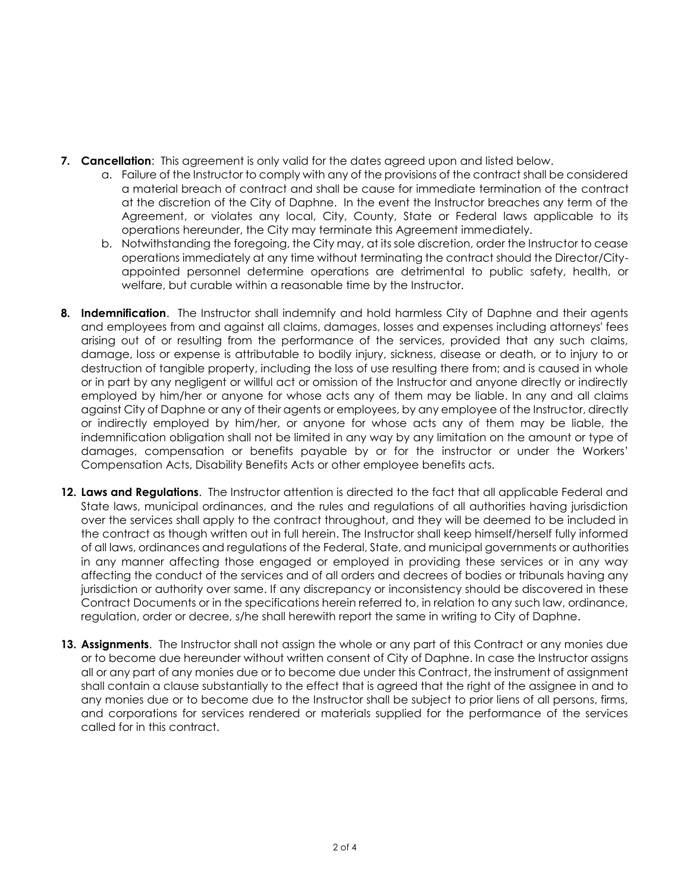- **7. Cancellation**: This agreement is only valid for the dates agreed upon and listed below.
	- a. Failure of the Instructor to comply with any of the provisions of the contract shall be considered a material breach of contract and shall be cause for immediate termination of the contract at the discretion of the City of Daphne. In the event the Instructor breaches any term of the Agreement, or violates any local, City, County, State or Federal laws applicable to its operations hereunder, the City may terminate this Agreement immediately.
	- b. Notwithstanding the foregoing, the City may, at its sole discretion, order the Instructor to cease operations immediately at any time without terminating the contract should the Director/Cityappointed personnel determine operations are detrimental to public safety, health, or welfare, but curable within a reasonable time by the Instructor.
- **8. Indemnification**. The Instructor shall indemnify and hold harmless City of Daphne and their agents and employees from and against all claims, damages, losses and expenses including attorneys' fees arising out of or resulting from the performance of the services, provided that any such claims, damage, loss or expense is attributable to bodily injury, sickness, disease or death, or to injury to or destruction of tangible property, including the loss of use resulting there from; and is caused in whole or in part by any negligent or willful act or omission of the Instructor and anyone directly or indirectly employed by him/her or anyone for whose acts any of them may be liable. In any and all claims against City of Daphne or any of their agents or employees, by any employee of the Instructor, directly or indirectly employed by him/her, or anyone for whose acts any of them may be liable, the indemnification obligation shall not be limited in any way by any limitation on the amount or type of damages, compensation or benefits payable by or for the instructor or under the Workers' Compensation Acts, Disability Benefits Acts or other employee benefits acts.
- **12. Laws and Regulations**. The Instructor attention is directed to the fact that all applicable Federal and State laws, municipal ordinances, and the rules and regulations of all authorities having jurisdiction over the services shall apply to the contract throughout, and they will be deemed to be included in the contract as though written out in full herein. The Instructor shall keep himself/herself fully informed of all laws, ordinances and regulations of the Federal, State, and municipal governments or authorities in any manner affecting those engaged or employed in providing these services or in any way affecting the conduct of the services and of all orders and decrees of bodies or tribunals having any jurisdiction or authority over same. If any discrepancy or inconsistency should be discovered in these Contract Documents or in the specifications herein referred to, in relation to any such law, ordinance, regulation, order or decree, s/he shall herewith report the same in writing to City of Daphne.
- **13. Assignments**. The Instructor shall not assign the whole or any part of this Contract or any monies due or to become due hereunder without written consent of City of Daphne. In case the Instructor assigns all or any part of any monies due or to become due under this Contract, the instrument of assignment shall contain a clause substantially to the effect that is agreed that the right of the assignee in and to any monies due or to become due to the Instructor shall be subject to prior liens of all persons, firms, and corporations for services rendered or materials supplied for the performance of the services called for in this contract.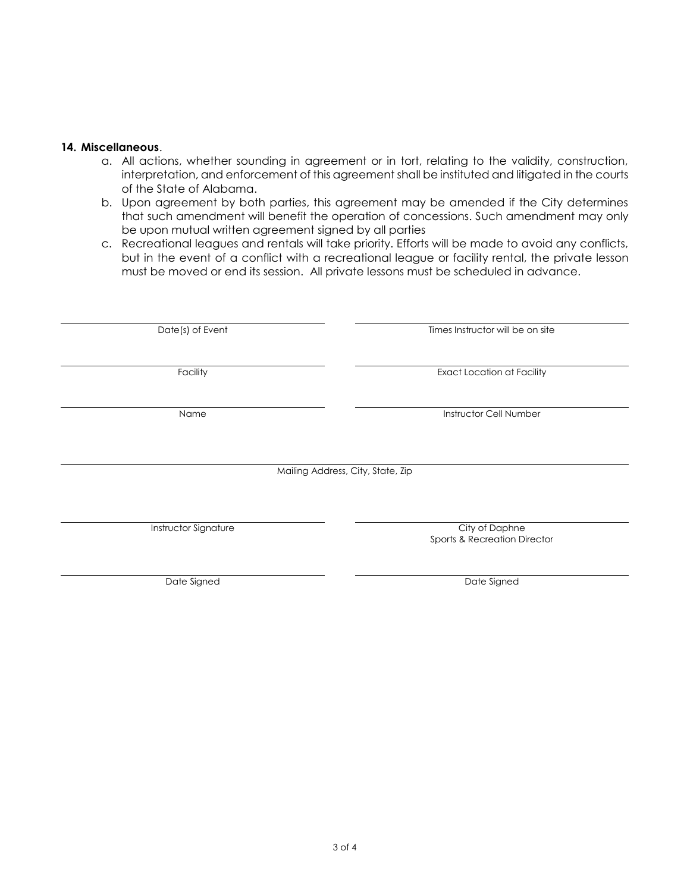## **14. Miscellaneous**.

- a. All actions, whether sounding in agreement or in tort, relating to the validity, construction, interpretation, and enforcement of this agreement shall be instituted and litigated in the courts of the State of Alabama.
- b. Upon agreement by both parties, this agreement may be amended if the City determines that such amendment will benefit the operation of concessions. Such amendment may only be upon mutual written agreement signed by all parties
- c. Recreational leagues and rentals will take priority. Efforts will be made to avoid any conflicts, but in the event of a conflict with a recreational league or facility rental, the private lesson must be moved or end its session. All private lessons must be scheduled in advance.

| Date(s) of Event            | Times Instructor will be on site  |
|-----------------------------|-----------------------------------|
|                             |                                   |
|                             |                                   |
| Facility                    | <b>Exact Location at Facility</b> |
|                             |                                   |
| Name                        | Instructor Cell Number            |
|                             |                                   |
|                             |                                   |
|                             |                                   |
|                             | Mailing Address, City, State, Zip |
|                             |                                   |
|                             |                                   |
|                             |                                   |
| <b>Instructor Signature</b> | City of Daphne                    |
|                             | Sports & Recreation Director      |
|                             |                                   |
|                             |                                   |
| Date Signed                 | Date Signed                       |